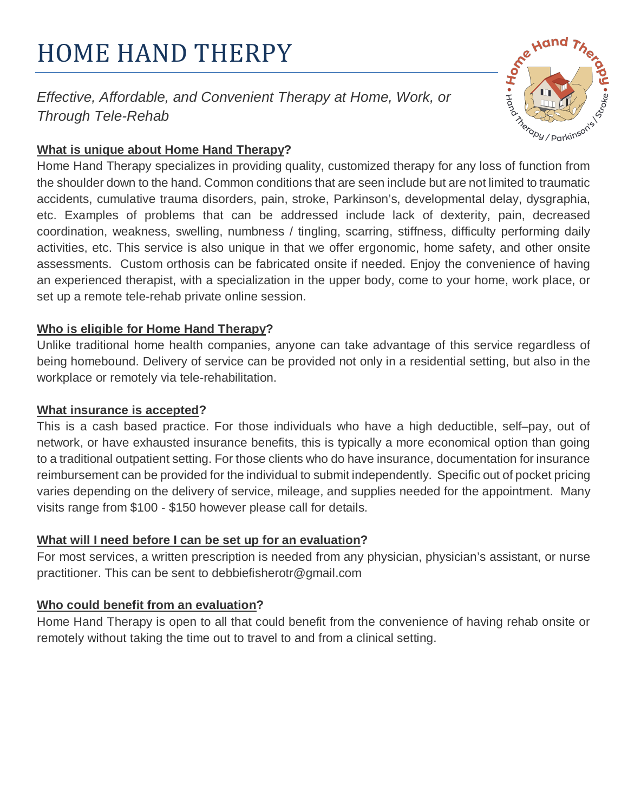# HOME HAND THERPY

Effective, Affordable, and Convenient Therapy at Home, Work, or Through Tele-Rehab



## **What is unique about Home Hand Therapy?**

Home Hand Therapy specializes in providing quality, customized therapy for any loss of function from the shoulder down to the hand. Common conditions that are seen include but are not limited to traumatic accidents, cumulative trauma disorders, pain, stroke, Parkinson's, developmental delay, dysgraphia, etc. Examples of problems that can be addressed include lack of dexterity, pain, decreased coordination, weakness, swelling, numbness / tingling, scarring, stiffness, difficulty performing daily activities, etc. This service is also unique in that we offer ergonomic, home safety, and other onsite assessments. Custom orthosis can be fabricated onsite if needed. Enjoy the convenience of having an experienced therapist, with a specialization in the upper body, come to your home, work place, or set up a remote tele-rehab private online session.

### **Who is eligible for Home Hand Therapy?**

Unlike traditional home health companies, anyone can take advantage of this service regardless of being homebound. Delivery of service can be provided not only in a residential setting, but also in the workplace or remotely via tele-rehabilitation.

#### **What insurance is accepted?**

This is a cash based practice. For those individuals who have a high deductible, self–pay, out of network, or have exhausted insurance benefits, this is typically a more economical option than going to a traditional outpatient setting. For those clients who do have insurance, documentation for insurance reimbursement can be provided for the individual to submit independently. Specific out of pocket pricing varies depending on the delivery of service, mileage, and supplies needed for the appointment. Many visits range from \$100 - \$150 however please call for details.

## **What will I need before I can be set up for an evaluation?**

For most services, a written prescription is needed from any physician, physician's assistant, or nurse practitioner. This can be sent to debbiefisherotr@gmail.com

## **Who could benefit from an evaluation?**

Home Hand Therapy is open to all that could benefit from the convenience of having rehab onsite or remotely without taking the time out to travel to and from a clinical setting.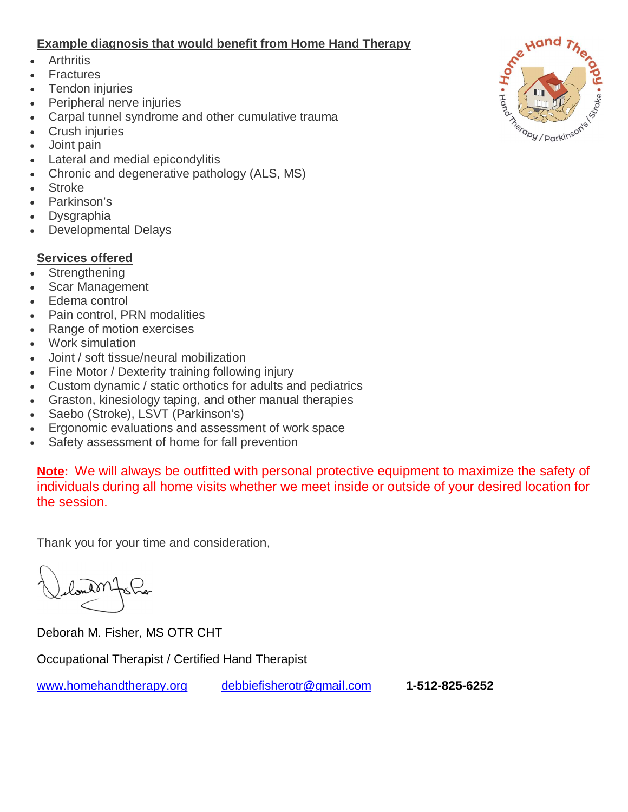#### **Example diagnosis that would benefit from Home Hand Therapy**

- Arthritis
- Fractures
- Tendon injuries
- Peripheral nerve injuries
- � Carpal tunnel syndrome and other cumulative trauma
- Crush injuries
- Joint pain
- Lateral and medial epicondylitis
- Chronic and degenerative pathology (ALS, MS)
- Stroke
- Parkinson's
- **Dysgraphia**
- � Developmental Delays

#### **Services offered**

- **Strengthening**
- Scar Management
- Edema control
- Pain control, PRN modalities
- Range of motion exercises
- Work simulation
- � Joint / soft tissue/neural mobilization
- Fine Motor / Dexterity training following injury
- Custom dynamic / static orthotics for adults and pediatrics
- Graston, kinesiology taping, and other manual therapies
- Saebo (Stroke), LSVT (Parkinson's)
- Ergonomic evaluations and assessment of work space
- Safety assessment of home for fall prevention

**Note:** We will always be outfitted with personal protective equipment to maximize the safety of individuals during all home visits whether we meet inside or outside of your desired location for the session.

Thank you for your time and consideration,

Deborah M. Fisher, MS OTR CHT

Occupational Therapist / Certified Hand Therapist

www.homehandtherapy.org debbiefisherotr@gmail.com **1-512-825-6252**

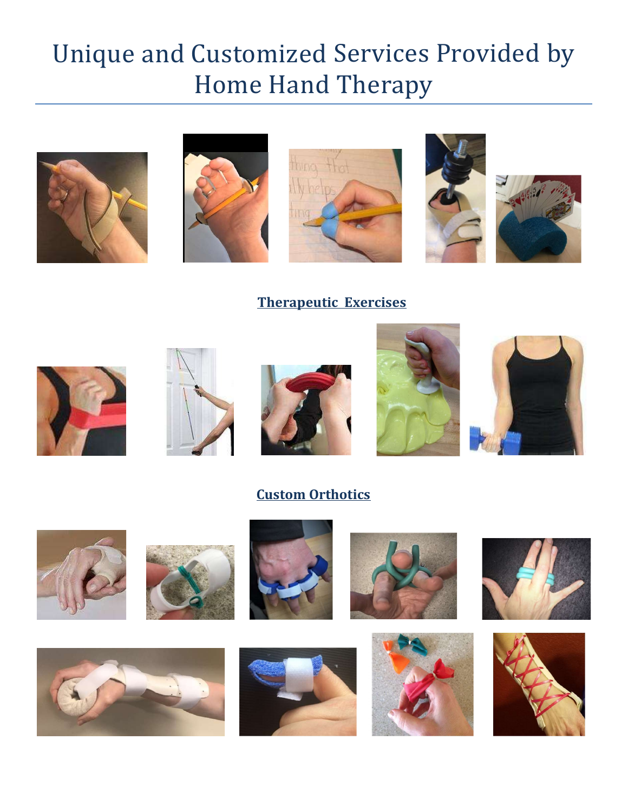# Unique and Customized Services Provided by Home Hand Therapy











**Therapeutic Exercises** 











## **Custom Orthotics**